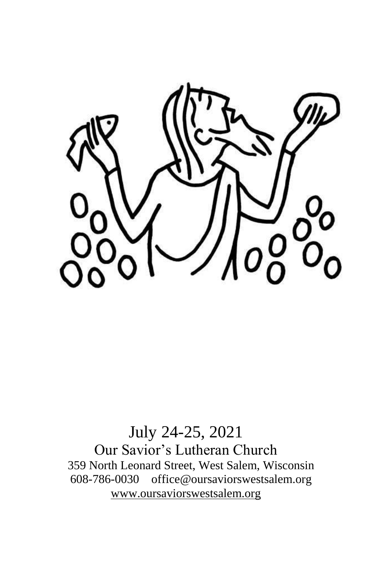

# July 24-25, 2021 Our Savior's Lutheran Church 359 North Leonard Street, West Salem, Wisconsin 608-786-0030 office@oursaviorswestsalem.org [www.oursaviorswestsalem.org](http://www.oursaviorswestsalem.org/)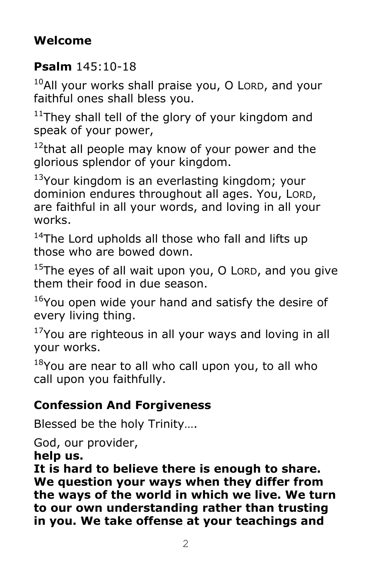# **Welcome**

## **Psalm** 145:10-18

 $10$ All your works shall praise you, O LORD, and your faithful ones shall bless you.

 $11$ They shall tell of the glory of your kingdom and speak of your power,

 $12$ that all people may know of your power and the glorious splendor of your kingdom.

 $13$ Your kingdom is an everlasting kingdom; your dominion endures throughout all ages. You, LORD, are faithful in all your words, and loving in all your works.

<sup>14</sup>The Lord upholds all those who fall and lifts up those who are bowed down.

 $15$ The eyes of all wait upon you, O LORD, and you give them their food in due season.

<sup>16</sup>You open wide your hand and satisfy the desire of every living thing.

 $17$ You are righteous in all your ways and loving in all your works.

 $18$ You are near to all who call upon you, to all who call upon you faithfully.

## **Confession And Forgiveness**

Blessed be the holy Trinity….

God, our provider,

**help us.**

**It is hard to believe there is enough to share. We question your ways when they differ from the ways of the world in which we live. We turn to our own understanding rather than trusting in you. We take offense at your teachings and**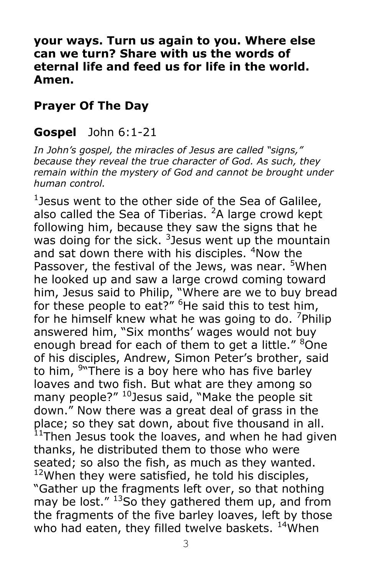**your ways. Turn us again to you. Where else can we turn? Share with us the words of eternal life and feed us for life in the world. Amen.**

#### **Prayer Of The Day**

#### **Gospel** John 6:1-21

*In John's gospel, the miracles of Jesus are called "signs," because they reveal the true character of God. As such, they remain within the mystery of God and cannot be brought under human control.*

<sup>1</sup> Jesus went to the other side of the Sea of Galilee, also called the Sea of Tiberias.  $2A$  large crowd kept following him, because they saw the signs that he was doing for the sick.  $3$  Jesus went up the mountain and sat down there with his disciples. <sup>4</sup>Now the Passover, the festival of the Jews, was near. <sup>5</sup>When he looked up and saw a large crowd coming toward him, Jesus said to Philip, "Where are we to buy bread for these people to eat?" <sup>6</sup>He said this to test him, for he himself knew what he was going to do. <sup>7</sup>Philip answered him, "Six months' wages would not buy enough bread for each of them to get a little." <sup>8</sup>One of his disciples, Andrew, Simon Peter's brother, said to him, <sup>9</sup> There is a boy here who has five barley loaves and two fish. But what are they among so many people?" <sup>10</sup>Jesus said, "Make the people sit down." Now there was a great deal of grass in the place; so they sat down, about five thousand in all.  $11$ Then Jesus took the loaves, and when he had given thanks, he distributed them to those who were seated; so also the fish, as much as they wanted.  $12$ When they were satisfied, he told his disciples, "Gather up the fragments left over, so that nothing may be lost."  $^{13}$ So they gathered them up, and from the fragments of the five barley loaves, left by those who had eaten, they filled twelve baskets. <sup>14</sup>When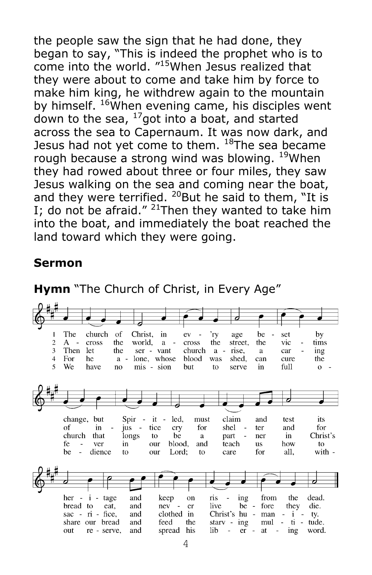the people saw the sign that he had done, they began to say, "This is indeed the prophet who is to come into the world. "<sup>15</sup>When Jesus realized that they were about to come and take him by force to make him king, he withdrew again to the mountain by himself. <sup>16</sup>When evening came, his disciples went down to the sea,  $^{17}$ got into a boat, and started across the sea to Capernaum. It was now dark, and Jesus had not yet come to them.  $18$ The sea became rough because a strong wind was blowing. <sup>19</sup>When they had rowed about three or four miles, they saw Jesus walking on the sea and coming near the boat, and they were terrified.  $^{20}$ But he said to them, "It is I; do not be afraid." <sup>21</sup>Then they wanted to take him into the boat, and immediately the boat reached the land toward which they were going.

#### **Sermon**



**Hymn** "The Church of Christ, in Every Age"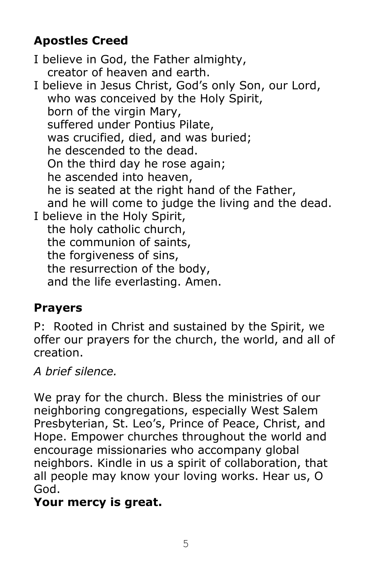# **Apostles Creed**

I believe in God, the Father almighty, creator of heaven and earth. I believe in Jesus Christ, God's only Son, our Lord, who was conceived by the Holy Spirit, born of the virgin Mary, suffered under Pontius Pilate, was crucified, died, and was buried; he descended to the dead. On the third day he rose again; he ascended into heaven, he is seated at the right hand of the Father, and he will come to judge the living and the dead. I believe in the Holy Spirit, the holy catholic church, the communion of saints, the forgiveness of sins, the resurrection of the body, and the life everlasting. Amen.

# **Prayers**

P: Rooted in Christ and sustained by the Spirit, we offer our prayers for the church, the world, and all of creation.

*A brief silence.*

We pray for the church. Bless the ministries of our neighboring congregations, especially West Salem Presbyterian, St. Leo's, Prince of Peace, Christ, and Hope. Empower churches throughout the world and encourage missionaries who accompany global neighbors. Kindle in us a spirit of collaboration, that all people may know your loving works. Hear us, O God.

# **Your mercy is great.**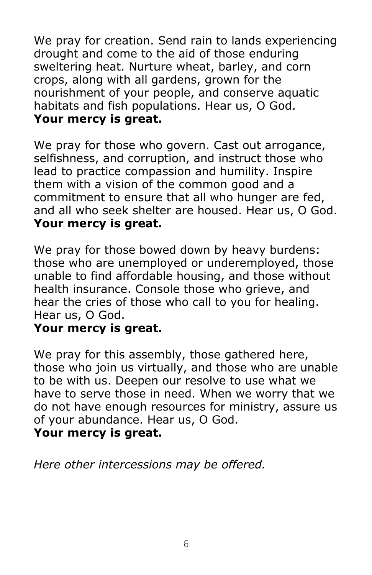We pray for creation. Send rain to lands experiencing drought and come to the aid of those enduring sweltering heat. Nurture wheat, barley, and corn crops, along with all gardens, grown for the nourishment of your people, and conserve aquatic habitats and fish populations. Hear us, O God. **Your mercy is great.**

We pray for those who govern. Cast out arrogance, selfishness, and corruption, and instruct those who lead to practice compassion and humility. Inspire them with a vision of the common good and a commitment to ensure that all who hunger are fed, and all who seek shelter are housed. Hear us, O God. **Your mercy is great.**

We pray for those bowed down by heavy burdens: those who are unemployed or underemployed, those unable to find affordable housing, and those without health insurance. Console those who grieve, and hear the cries of those who call to you for healing. Hear us, O God.

#### **Your mercy is great.**

We pray for this assembly, those gathered here, those who join us virtually, and those who are unable to be with us. Deepen our resolve to use what we have to serve those in need. When we worry that we do not have enough resources for ministry, assure us of your abundance. Hear us, O God. **Your mercy is great.**

*Here other intercessions may be offered.*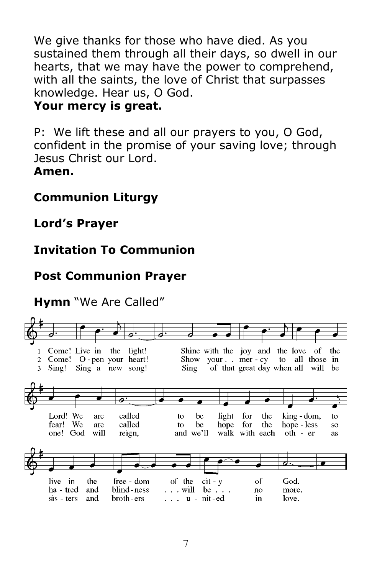We give thanks for those who have died. As you sustained them through all their days, so dwell in our hearts, that we may have the power to comprehend, with all the saints, the love of Christ that surpasses knowledge. Hear us, O God.

#### **Your mercy is great.**

P: We lift these and all our prayers to you, O God, confident in the promise of your saving love; through Jesus Christ our Lord. **Amen.**

## **Communion Liturgy**

**Lord's Prayer**

## **Invitation To Communion**

### **Post Communion Prayer**

## **Hymn** "We Are Called"